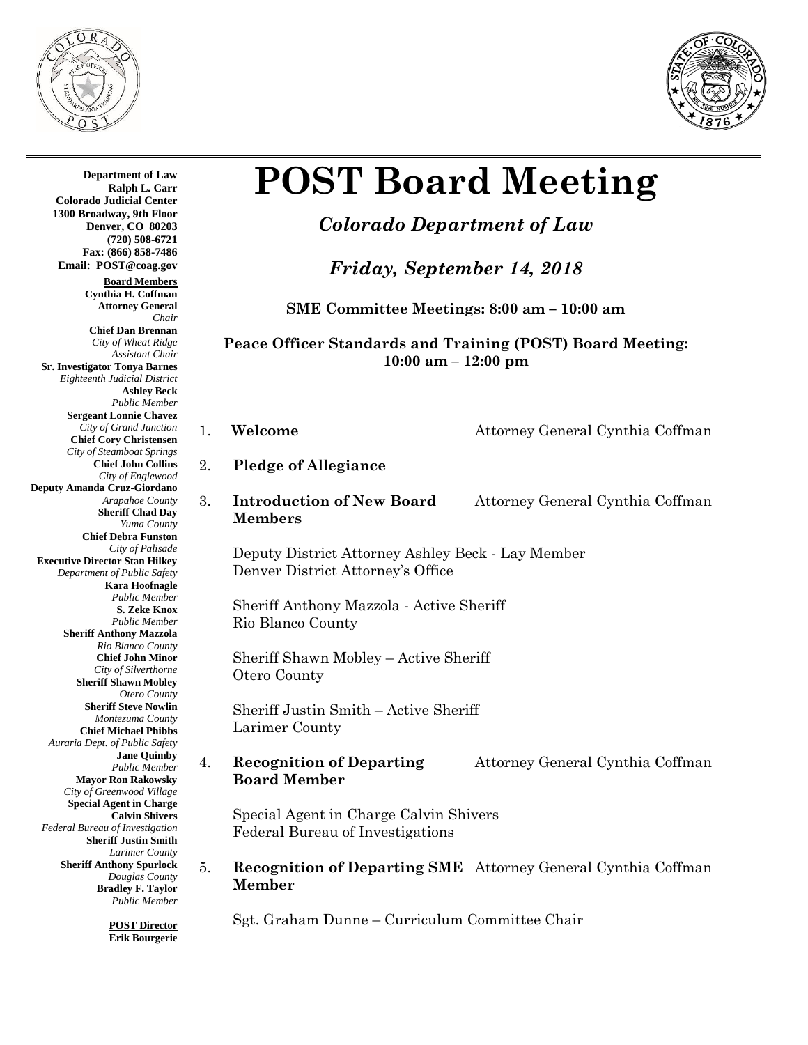



# **POST Board Meeting**

# *Colorado Department of Law*

# *Friday, September 14, 2018*

**SME Committee Meetings: 8:00 am – 10:00 am**

## **Peace Officer Standards and Training (POST) Board Meeting: 10:00 am – 12:00 pm**

- 1. **Welcome** Attorney General Cynthia Coffman
- 2. **Pledge of Allegiance**
- 3. **Introduction of New Board** Attorney General Cynthia Coffman **Members**

Deputy District Attorney Ashley Beck - Lay Member Denver District Attorney's Office

Sheriff Anthony Mazzola - Active Sheriff Rio Blanco County

Sheriff Shawn Mobley – Active Sheriff Otero County

Sheriff Justin Smith – Active Sheriff Larimer County

4. **Recognition of Departing** Attorney General Cynthia Coffman **Board Member**

Special Agent in Charge Calvin Shivers Federal Bureau of Investigations

5. **Recognition of Departing SME** Attorney General Cynthia Coffman **Member** 

Sgt. Graham Dunne – Curriculum Committee Chair

**Department of Law Ralph L. Carr Colorado Judicial Center 1300 Broadway, 9th Floor Denver, CO 80203 (720) 508-6721 Fax: (866) 858-7486 Email: POST@coag.gov Board Members Cynthia H. Coffman Attorney General** *Chair* **Chief Dan Brennan** *City of Wheat Ridge Assistant Chair* **Sr. Investigator Tonya Barnes** *Eighteenth Judicial District* **Ashley Beck** *Public Member* **Sergeant Lonnie Chavez** *City of Grand Junction* **Chief Cory Christensen** *City of Steamboat Springs* **Chief John Collins** *City of Englewood* **Deputy Amanda Cruz-Giordano** *Arapahoe County* **Sheriff Chad Day** *Yuma County* **Chief Debra Funston** *City of Palisade* **Executive Director Stan Hilkey** *Department of Public Safety* **Kara Hoofnagle** *Public Member* **S. Zeke Knox** *Public Member* **Sheriff Anthony Mazzola** *Rio Blanco County* **Chief John Minor** *City of Silverthorne* **Sheriff Shawn Mobley** *Otero County* **Sheriff Steve Nowlin** *Montezuma County* **Chief Michael Phibbs** *Auraria Dept. of Public Safety* **Jane Quimby** *Public Member* **Mayor Ron Rakowsky** *City of Greenwood Village* **Special Agent in Charge Calvin Shivers** *Federal Bureau of Investigation* **Sheriff Justin Smith** *Larimer County* **Sheriff Anthony Spurlock** *Douglas County* **Bradley F. Taylor** *Public Member*

> **POST Director Erik Bourgerie**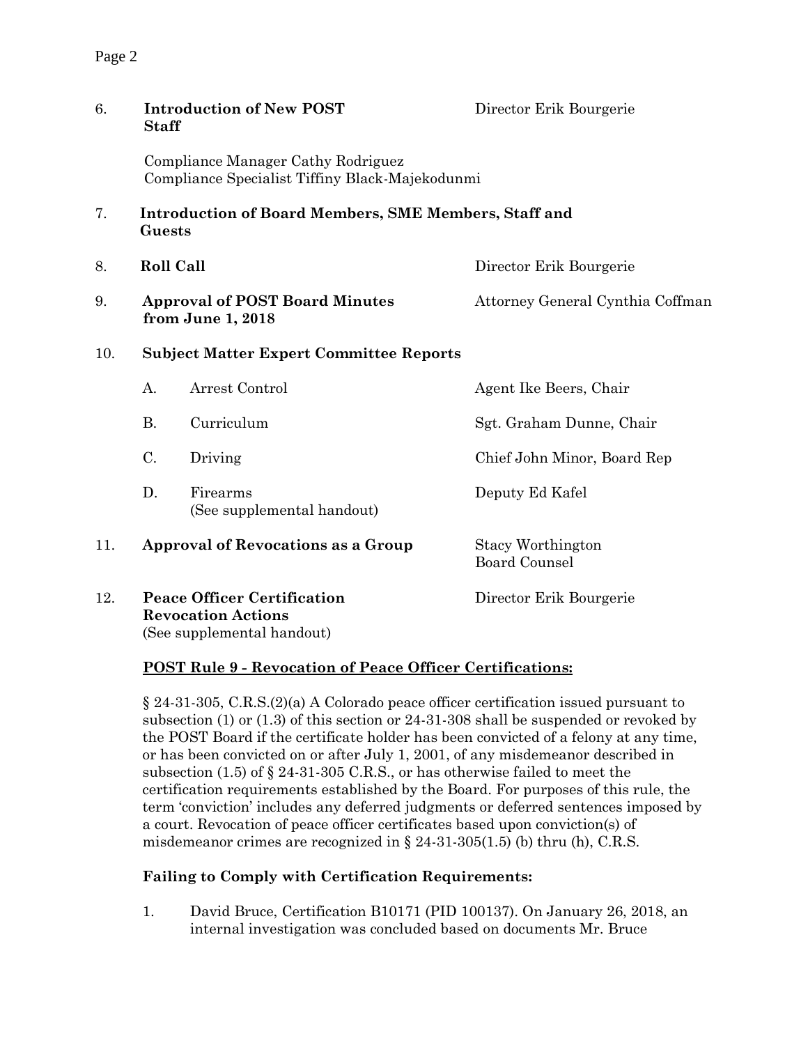| 6.  | <b>Staff</b>                                                                          | <b>Introduction of New POST</b>                | Director Erik Bourgerie                          |  |
|-----|---------------------------------------------------------------------------------------|------------------------------------------------|--------------------------------------------------|--|
|     | Compliance Manager Cathy Rodriguez<br>Compliance Specialist Tiffiny Black-Majekodunmi |                                                |                                                  |  |
| 7.  | <b>Introduction of Board Members, SME Members, Staff and</b><br>Guests                |                                                |                                                  |  |
| 8.  | <b>Roll Call</b>                                                                      |                                                | Director Erik Bourgerie                          |  |
| 9.  | <b>Approval of POST Board Minutes</b><br>from June 1, 2018                            |                                                | Attorney General Cynthia Coffman                 |  |
| 10. |                                                                                       | <b>Subject Matter Expert Committee Reports</b> |                                                  |  |
|     | A.                                                                                    | Arrest Control                                 | Agent Ike Beers, Chair                           |  |
|     | <b>B.</b>                                                                             | Curriculum                                     | Sgt. Graham Dunne, Chair                         |  |
|     | $C$ .                                                                                 | Driving                                        | Chief John Minor, Board Rep                      |  |
|     | D.                                                                                    | Firearms<br>(See supplemental handout)         | Deputy Ed Kafel                                  |  |
| 11. | <b>Approval of Revocations as a Group</b>                                             |                                                | <b>Stacy Worthington</b><br><b>Board Counsel</b> |  |
| 12. | <b>Peace Officer Certification</b><br><b>Revocation Actions</b>                       |                                                | Director Erik Bourgerie                          |  |

(See supplemental handout)

### **POST Rule 9 - Revocation of Peace Officer Certifications:**

§ 24-31-305, C.R.S.(2)(a) A Colorado peace officer certification issued pursuant to subsection (1) or (1.3) of this section or 24-31-308 shall be suspended or revoked by the POST Board if the certificate holder has been convicted of a felony at any time, or has been convicted on or after July 1, 2001, of any misdemeanor described in subsection (1.5) of § 24-31-305 C.R.S., or has otherwise failed to meet the certification requirements established by the Board. For purposes of this rule, the term 'conviction' includes any deferred judgments or deferred sentences imposed by a court. Revocation of peace officer certificates based upon conviction(s) of misdemeanor crimes are recognized in § 24-31-305(1.5) (b) thru (h), C.R.S.

# **Failing to Comply with Certification Requirements:**

1. David Bruce, Certification B10171 (PID 100137). On January 26, 2018, an internal investigation was concluded based on documents Mr. Bruce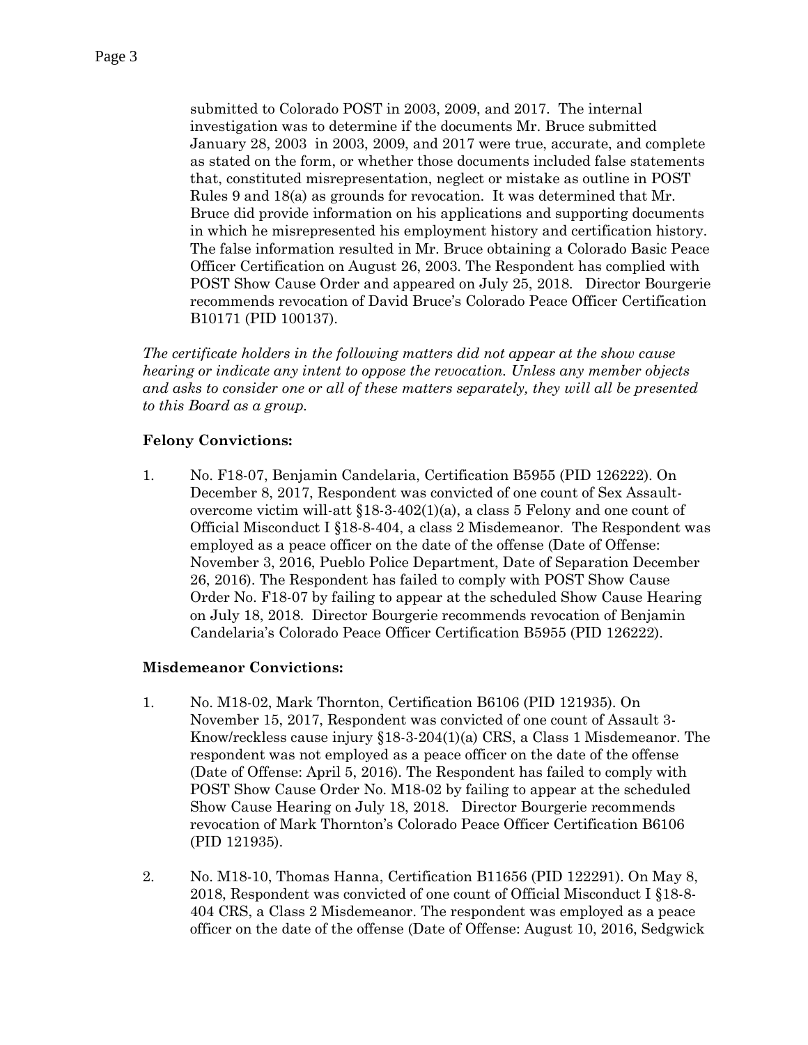submitted to Colorado POST in 2003, 2009, and 2017. The internal investigation was to determine if the documents Mr. Bruce submitted January 28, 2003 in 2003, 2009, and 2017 were true, accurate, and complete as stated on the form, or whether those documents included false statements that, constituted misrepresentation, neglect or mistake as outline in POST Rules 9 and 18(a) as grounds for revocation. It was determined that Mr. Bruce did provide information on his applications and supporting documents in which he misrepresented his employment history and certification history. The false information resulted in Mr. Bruce obtaining a Colorado Basic Peace Officer Certification on August 26, 2003. The Respondent has complied with POST Show Cause Order and appeared on July 25, 2018. Director Bourgerie recommends revocation of David Bruce's Colorado Peace Officer Certification B10171 (PID 100137).

*The certificate holders in the following matters did not appear at the show cause hearing or indicate any intent to oppose the revocation. Unless any member objects and asks to consider one or all of these matters separately, they will all be presented to this Board as a group.*

#### **Felony Convictions:**

1. No. F18-07, Benjamin Candelaria, Certification B5955 (PID 126222). On December 8, 2017, Respondent was convicted of one count of Sex Assaultovercome victim will-att  $$18-3-402(1)(a)$ , a class 5 Felony and one count of Official Misconduct I §18-8-404, a class 2 Misdemeanor. The Respondent was employed as a peace officer on the date of the offense (Date of Offense: November 3, 2016, Pueblo Police Department, Date of Separation December 26, 2016). The Respondent has failed to comply with POST Show Cause Order No. F18-07 by failing to appear at the scheduled Show Cause Hearing on July 18, 2018. Director Bourgerie recommends revocation of Benjamin Candelaria's Colorado Peace Officer Certification B5955 (PID 126222).

#### **Misdemeanor Convictions:**

- 1. No. M18-02, Mark Thornton, Certification B6106 (PID 121935). On November 15, 2017, Respondent was convicted of one count of Assault 3- Know/reckless cause injury §18-3-204(1)(a) CRS, a Class 1 Misdemeanor. The respondent was not employed as a peace officer on the date of the offense (Date of Offense: April 5, 2016). The Respondent has failed to comply with POST Show Cause Order No. M18-02 by failing to appear at the scheduled Show Cause Hearing on July 18, 2018. Director Bourgerie recommends revocation of Mark Thornton's Colorado Peace Officer Certification B6106 (PID 121935).
- 2. No. M18-10, Thomas Hanna, Certification B11656 (PID 122291). On May 8, 2018, Respondent was convicted of one count of Official Misconduct I §18-8- 404 CRS, a Class 2 Misdemeanor. The respondent was employed as a peace officer on the date of the offense (Date of Offense: August 10, 2016, Sedgwick